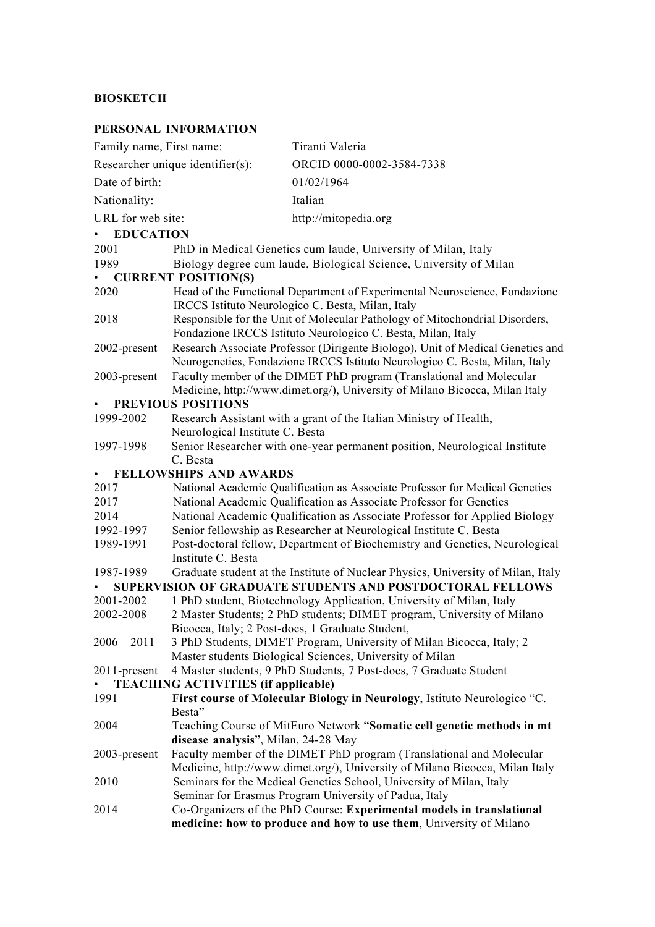# **BIOSKETCH**

## **PERSONAL INFORMATION**

| Family name, First name:                                                                                                                             |                                                                                                                                                               | Tiranti Valeria                                                                                                                             |
|------------------------------------------------------------------------------------------------------------------------------------------------------|---------------------------------------------------------------------------------------------------------------------------------------------------------------|---------------------------------------------------------------------------------------------------------------------------------------------|
| Researcher unique identifier(s):                                                                                                                     |                                                                                                                                                               | ORCID 0000-0002-3584-7338                                                                                                                   |
| Date of birth:                                                                                                                                       |                                                                                                                                                               | 01/02/1964                                                                                                                                  |
| Nationality:                                                                                                                                         |                                                                                                                                                               | Italian                                                                                                                                     |
| URL for web site:                                                                                                                                    |                                                                                                                                                               | http://mitopedia.org                                                                                                                        |
| • EDUCATION                                                                                                                                          |                                                                                                                                                               |                                                                                                                                             |
| 2001<br>PhD in Medical Genetics cum laude, University of Milan, Italy                                                                                |                                                                                                                                                               |                                                                                                                                             |
| 1989                                                                                                                                                 | Biology degree cum laude, Biological Science, University of Milan                                                                                             |                                                                                                                                             |
| <b>CURRENT POSITION(S)</b><br>$\bullet$                                                                                                              |                                                                                                                                                               |                                                                                                                                             |
| 2020                                                                                                                                                 | Head of the Functional Department of Experimental Neuroscience, Fondazione<br>IRCCS Istituto Neurologico C. Besta, Milan, Italy                               |                                                                                                                                             |
| 2018                                                                                                                                                 | Responsible for the Unit of Molecular Pathology of Mitochondrial Disorders,<br>Fondazione IRCCS Istituto Neurologico C. Besta, Milan, Italy                   |                                                                                                                                             |
| 2002-present                                                                                                                                         | Research Associate Professor (Dirigente Biologo), Unit of Medical Genetics and<br>Neurogenetics, Fondazione IRCCS Istituto Neurologico C. Besta, Milan, Italy |                                                                                                                                             |
| 2003-present                                                                                                                                         | Faculty member of the DIMET PhD program (Translational and Molecular<br>Medicine, http://www.dimet.org/), University of Milano Bicocca, Milan Italy           |                                                                                                                                             |
| PREVIOUS POSITIONS<br>$\bullet$                                                                                                                      |                                                                                                                                                               |                                                                                                                                             |
| 1999-2002                                                                                                                                            | Research Assistant with a grant of the Italian Ministry of Health,<br>Neurological Institute C. Besta                                                         |                                                                                                                                             |
| 1997-1998                                                                                                                                            | Senior Researcher with one-year permanent position, Neurological Institute<br>C. Besta                                                                        |                                                                                                                                             |
| FELLOWSHIPS AND AWARDS<br>$\bullet$                                                                                                                  |                                                                                                                                                               |                                                                                                                                             |
| 2017                                                                                                                                                 | National Academic Qualification as Associate Professor for Medical Genetics                                                                                   |                                                                                                                                             |
| 2017                                                                                                                                                 | National Academic Qualification as Associate Professor for Genetics                                                                                           |                                                                                                                                             |
| 2014                                                                                                                                                 | National Academic Qualification as Associate Professor for Applied Biology                                                                                    |                                                                                                                                             |
| 1992-1997                                                                                                                                            | Senior fellowship as Researcher at Neurological Institute C. Besta                                                                                            |                                                                                                                                             |
| 1989-1991                                                                                                                                            | Post-doctoral fellow, Department of Biochemistry and Genetics, Neurological<br>Institute C. Besta                                                             |                                                                                                                                             |
| 1987-1989                                                                                                                                            |                                                                                                                                                               |                                                                                                                                             |
| Graduate student at the Institute of Nuclear Physics, University of Milan, Italy<br><b>SUPERVISION OF GRADUATE STUDENTS AND POSTDOCTORAL FELLOWS</b> |                                                                                                                                                               |                                                                                                                                             |
| 2001-2002                                                                                                                                            | 1 PhD student, Biotechnology Application, University of Milan, Italy                                                                                          |                                                                                                                                             |
| 2002-2008                                                                                                                                            | 2 Master Students; 2 PhD students; DIMET program, University of Milano                                                                                        |                                                                                                                                             |
|                                                                                                                                                      | Bicocca, Italy; 2 Post-docs, 1 Graduate Student,                                                                                                              |                                                                                                                                             |
| $2006 - 2011$                                                                                                                                        |                                                                                                                                                               | 3 PhD Students, DIMET Program, University of Milan Bicocca, Italy; 2                                                                        |
|                                                                                                                                                      |                                                                                                                                                               | Master students Biological Sciences, University of Milan                                                                                    |
| 4 Master students, 9 PhD Students, 7 Post-docs, 7 Graduate Student<br>2011-present<br>$\bullet$<br><b>TEACHING ACTIVITIES (if applicable)</b>        |                                                                                                                                                               |                                                                                                                                             |
| 1991                                                                                                                                                 | Besta"                                                                                                                                                        | First course of Molecular Biology in Neurology, Istituto Neurologico "C.                                                                    |
| 2004                                                                                                                                                 |                                                                                                                                                               | Teaching Course of MitEuro Network "Somatic cell genetic methods in mt                                                                      |
|                                                                                                                                                      | disease analysis", Milan, 24-28 May                                                                                                                           |                                                                                                                                             |
| 2003-present                                                                                                                                         | Faculty member of the DIMET PhD program (Translational and Molecular<br>Medicine, http://www.dimet.org/), University of Milano Bicocca, Milan Italy           |                                                                                                                                             |
| 2010                                                                                                                                                 | Seminars for the Medical Genetics School, University of Milan, Italy<br>Seminar for Erasmus Program University of Padua, Italy                                |                                                                                                                                             |
| 2014                                                                                                                                                 |                                                                                                                                                               | Co-Organizers of the PhD Course: Experimental models in translational<br>medicine: how to produce and how to use them, University of Milano |
|                                                                                                                                                      |                                                                                                                                                               |                                                                                                                                             |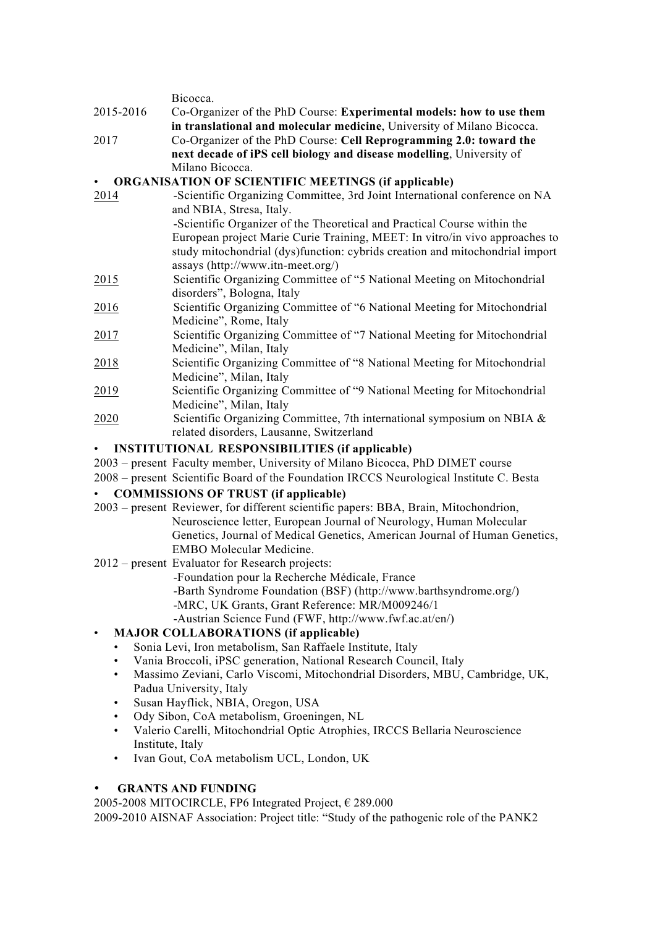Bicocca. 2015-2016 Co-Organizer of the PhD Course: **Experimental models: how to use them in translational and molecular medicine**, University of Milano Bicocca. 2017 Co-Organizer of the PhD Course: **Cell Reprogramming 2.0: toward the next decade of iPS cell biology and disease modelling**, University of Milano Bicocca. • **ORGANISATION OF SCIENTIFIC MEETINGS (if applicable)** 2014 -Scientific Organizing Committee, 3rd Joint International conference on NA and NBIA, Stresa, Italy. -Scientific Organizer of the Theoretical and Practical Course within the European project Marie Curie Training, MEET: In vitro/in vivo approaches to study mitochondrial (dys)function: cybrids creation and mitochondrial import assays (http://www.itn-meet.org/) 2015 Scientific Organizing Committee of "5 National Meeting on Mitochondrial disorders", Bologna, Italy 2016 Scientific Organizing Committee of "6 National Meeting for Mitochondrial Medicine", Rome, Italy 2017 Scientific Organizing Committee of "7 National Meeting for Mitochondrial Medicine", Milan, Italy 2018 Scientific Organizing Committee of "8 National Meeting for Mitochondrial Medicine", Milan, Italy 2019 Scientific Organizing Committee of "9 National Meeting for Mitochondrial Medicine", Milan, Italy 2020 Scientific Organizing Committee, 7th international symposium on NBIA & related disorders, Lausanne, Switzerland • **INSTITUTIONAL RESPONSIBILITIES (if applicable)** 2003 – present Faculty member, University of Milano Bicocca, PhD DIMET course 2008 – present Scientific Board of the Foundation IRCCS Neurological Institute C. Besta • **COMMISSIONS OF TRUST (if applicable)** 2003 – present Reviewer, for different scientific papers: BBA, Brain, Mitochondrion, Neuroscience letter, European Journal of Neurology, Human Molecular Genetics, Journal of Medical Genetics, American Journal of Human Genetics, EMBO Molecular Medicine. 2012 – present Evaluator for Research projects: -Foundation pour la Recherche Médicale, France -Barth Syndrome Foundation (BSF) (http://www.barthsyndrome.org/) -MRC, UK Grants, Grant Reference: MR/M009246/1 -Austrian Science Fund (FWF, http://www.fwf.ac.at/en/) • **MAJOR COLLABORATIONS (if applicable)** • Sonia Levi, Iron metabolism, San Raffaele Institute, Italy

- Vania Broccoli, iPSC generation, National Research Council, Italy
- Massimo Zeviani, Carlo Viscomi, Mitochondrial Disorders, MBU, Cambridge, UK, Padua University, Italy
- Susan Hayflick, NBIA, Oregon, USA
- Ody Sibon, CoA metabolism, Groeningen, NL
- Valerio Carelli, Mitochondrial Optic Atrophies, IRCCS Bellaria Neuroscience Institute, Italy
- Ivan Gout, CoA metabolism UCL, London, UK

#### • **GRANTS AND FUNDING**

2005-2008 MITOCIRCLE, FP6 Integrated Project,  $\epsilon$  289.000

2009-2010 AISNAF Association: Project title: "Study of the pathogenic role of the PANK2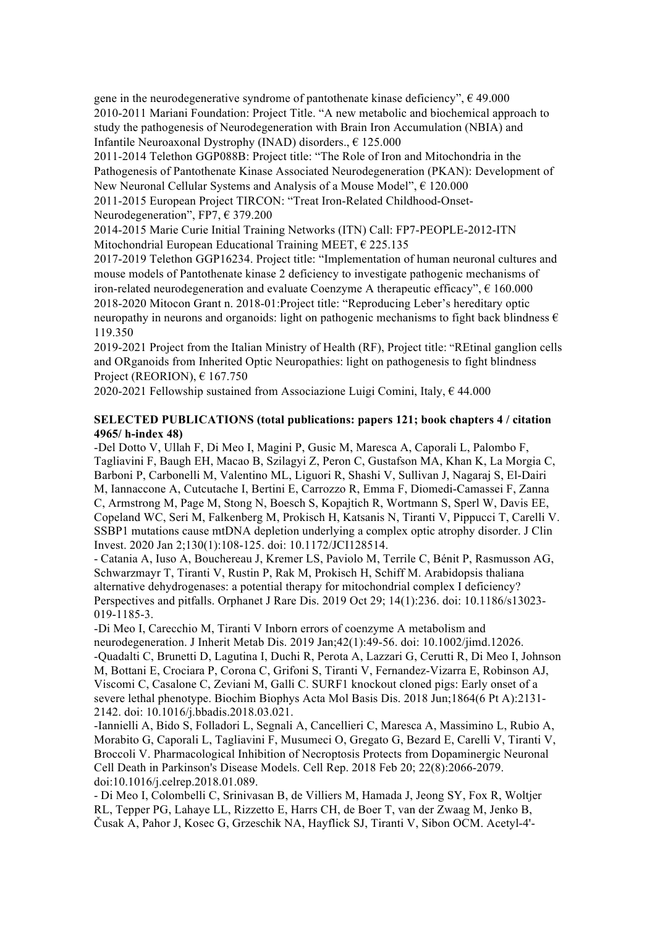gene in the neurodegenerative syndrome of pantothenate kinase deficiency",  $\epsilon$  49.000 2010-2011 Mariani Foundation: Project Title. "A new metabolic and biochemical approach to study the pathogenesis of Neurodegeneration with Brain Iron Accumulation (NBIA) and Infantile Neuroaxonal Dystrophy (INAD) disorders., € 125.000

2011-2014 Telethon GGP088B: Project title: "The Role of Iron and Mitochondria in the Pathogenesis of Pantothenate Kinase Associated Neurodegeneration (PKAN): Development of New Neuronal Cellular Systems and Analysis of a Mouse Model", € 120.000

2011-2015 European Project TIRCON: "Treat Iron-Related Childhood-Onset-Neurodegeneration", FP7, € 379.200

2014-2015 Marie Curie Initial Training Networks (ITN) Call: FP7-PEOPLE-2012-ITN Mitochondrial European Educational Training MEET,  $\epsilon$  225.135

2017-2019 Telethon GGP16234. Project title: "Implementation of human neuronal cultures and mouse models of Pantothenate kinase 2 deficiency to investigate pathogenic mechanisms of iron-related neurodegeneration and evaluate Coenzyme A therapeutic efficacy",  $\epsilon$  160.000 2018-2020 Mitocon Grant n. 2018-01:Project title: "Reproducing Leber's hereditary optic neuropathy in neurons and organoids: light on pathogenic mechanisms to fight back blindness  $\epsilon$ 119.350

2019-2021 Project from the Italian Ministry of Health (RF), Project title: "REtinal ganglion cells and ORganoids from Inherited Optic Neuropathies: light on pathogenesis to fight blindness Project (REORION),  $\epsilon$  167.750

2020-2021 Fellowship sustained from Associazione Luigi Comini, Italy,  $\epsilon$  44.000

#### **SELECTED PUBLICATIONS (total publications: papers 121; book chapters 4 / citation 4965/ h-index 48)**

-Del Dotto V, Ullah F, Di Meo I, Magini P, Gusic M, Maresca A, Caporali L, Palombo F, Tagliavini F, Baugh EH, Macao B, Szilagyi Z, Peron C, Gustafson MA, Khan K, La Morgia C, Barboni P, Carbonelli M, Valentino ML, Liguori R, Shashi V, Sullivan J, Nagaraj S, El-Dairi M, Iannaccone A, Cutcutache I, Bertini E, Carrozzo R, Emma F, Diomedi-Camassei F, Zanna C, Armstrong M, Page M, Stong N, Boesch S, Kopajtich R, Wortmann S, Sperl W, Davis EE, Copeland WC, Seri M, Falkenberg M, Prokisch H, Katsanis N, Tiranti V, Pippucci T, Carelli V. SSBP1 mutations cause mtDNA depletion underlying a complex optic atrophy disorder. J Clin Invest. 2020 Jan 2;130(1):108-125. doi: 10.1172/JCI128514.

- Catania A, Iuso A, Bouchereau J, Kremer LS, Paviolo M, Terrile C, Bénit P, Rasmusson AG, Schwarzmayr T, Tiranti V, Rustin P, Rak M, Prokisch H, Schiff M. Arabidopsis thaliana alternative dehydrogenases: a potential therapy for mitochondrial complex I deficiency? Perspectives and pitfalls. Orphanet J Rare Dis. 2019 Oct 29; 14(1):236. doi: 10.1186/s13023- 019-1185-3.

-Di Meo I, Carecchio M, Tiranti V Inborn errors of coenzyme A metabolism and neurodegeneration. J Inherit Metab Dis. 2019 Jan;42(1):49-56. doi: 10.1002/jimd.12026. -Quadalti C, Brunetti D, Lagutina I, Duchi R, Perota A, Lazzari G, Cerutti R, Di Meo I, Johnson M, Bottani E, Crociara P, Corona C, Grifoni S, Tiranti V, Fernandez-Vizarra E, Robinson AJ, Viscomi C, Casalone C, Zeviani M, Galli C. SURF1 knockout cloned pigs: Early onset of a severe lethal phenotype. Biochim Biophys Acta Mol Basis Dis. 2018 Jun;1864(6 Pt A):2131- 2142. doi: 10.1016/j.bbadis.2018.03.021.

-Iannielli A, Bido S, Folladori L, Segnali A, Cancellieri C, Maresca A, Massimino L, Rubio A, Morabito G, Caporali L, Tagliavini F, Musumeci O, Gregato G, Bezard E, Carelli V, Tiranti V, Broccoli V. Pharmacological Inhibition of Necroptosis Protects from Dopaminergic Neuronal Cell Death in Parkinson's Disease Models. Cell Rep. 2018 Feb 20; 22(8):2066-2079. doi:10.1016/j.celrep.2018.01.089.

- Di Meo I, Colombelli C, Srinivasan B, de Villiers M, Hamada J, Jeong SY, Fox R, Woltjer RL, Tepper PG, Lahaye LL, Rizzetto E, Harrs CH, de Boer T, van der Zwaag M, Jenko B, Čusak A, Pahor J, Kosec G, Grzeschik NA, Hayflick SJ, Tiranti V, Sibon OCM. Acetyl-4'-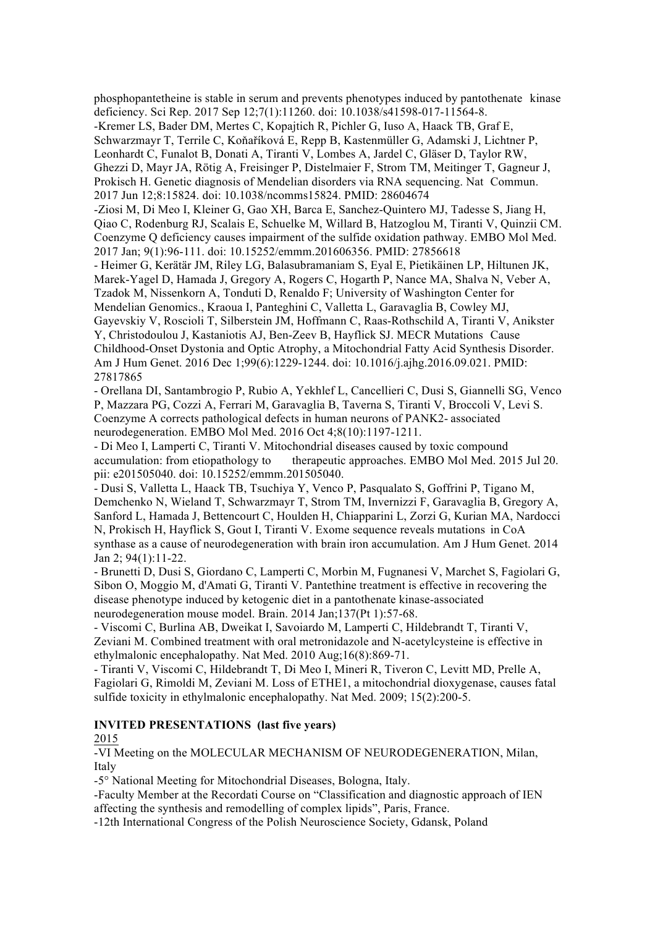phosphopantetheine is stable in serum and prevents phenotypes induced by pantothenate kinase deficiency. Sci Rep. 2017 Sep 12;7(1):11260. doi: 10.1038/s41598-017-11564-8. -Kremer LS, Bader DM, Mertes C, Kopajtich R, Pichler G, Iuso A, Haack TB, Graf E, Schwarzmayr T, Terrile C, Koňaříková E, Repp B, Kastenmüller G, Adamski J, Lichtner P, Leonhardt C, Funalot B, Donati A, Tiranti V, Lombes A, Jardel C, Gläser D, Taylor RW, Ghezzi D, Mayr JA, Rötig A, Freisinger P, Distelmaier F, Strom TM, Meitinger T, Gagneur J, Prokisch H. Genetic diagnosis of Mendelian disorders via RNA sequencing. Nat Commun. 2017 Jun 12;8:15824. doi: 10.1038/ncomms15824. PMID: 28604674 -Ziosi M, Di Meo I, Kleiner G, Gao XH, Barca E, Sanchez-Quintero MJ, Tadesse S, Jiang H, Qiao C, Rodenburg RJ, Scalais E, Schuelke M, Willard B, Hatzoglou M, Tiranti V, Quinzii CM. Coenzyme Q deficiency causes impairment of the sulfide oxidation pathway. EMBO Mol Med. 2017 Jan; 9(1):96-111. doi: 10.15252/emmm.201606356. PMID: 27856618 - Heimer G, Kerätär JM, Riley LG, Balasubramaniam S, Eyal E, Pietikäinen LP, Hiltunen JK, Marek-Yagel D, Hamada J, Gregory A, Rogers C, Hogarth P, Nance MA, Shalva N, Veber A, Tzadok M, Nissenkorn A, Tonduti D, Renaldo F; University of Washington Center for Mendelian Genomics., Kraoua I, Panteghini C, Valletta L, Garavaglia B, Cowley MJ, Gayevskiy V, Roscioli T, Silberstein JM, Hoffmann C, Raas-Rothschild A, Tiranti V, Anikster Y, Christodoulou J, Kastaniotis AJ, Ben-Zeev B, Hayflick SJ. MECR Mutations Cause Childhood-Onset Dystonia and Optic Atrophy, a Mitochondrial Fatty Acid Synthesis Disorder. Am J Hum Genet. 2016 Dec 1;99(6):1229-1244. doi: 10.1016/j.ajhg.2016.09.021. PMID: 27817865

- Orellana DI, Santambrogio P, Rubio A, Yekhlef L, Cancellieri C, Dusi S, Giannelli SG, Venco P, Mazzara PG, Cozzi A, Ferrari M, Garavaglia B, Taverna S, Tiranti V, Broccoli V, Levi S. Coenzyme A corrects pathological defects in human neurons of PANK2- associated neurodegeneration. EMBO Mol Med. 2016 Oct 4;8(10):1197-1211.

- Di Meo I, Lamperti C, Tiranti V. Mitochondrial diseases caused by toxic compound accumulation: from etiopathology to therapeutic approaches. EMBO Mol Med. 2015 Jul 20. pii: e201505040. doi: 10.15252/emmm.201505040.

- Dusi S, Valletta L, Haack TB, Tsuchiya Y, Venco P, Pasqualato S, Goffrini P, Tigano M, Demchenko N, Wieland T, Schwarzmayr T, Strom TM, Invernizzi F, Garavaglia B, Gregory A, Sanford L, Hamada J, Bettencourt C, Houlden H, Chiapparini L, Zorzi G, Kurian MA, Nardocci N, Prokisch H, Hayflick S, Gout I, Tiranti V. Exome sequence reveals mutations in CoA synthase as a cause of neurodegeneration with brain iron accumulation. Am J Hum Genet. 2014 Jan 2; 94(1):11-22.

- Brunetti D, Dusi S, Giordano C, Lamperti C, Morbin M, Fugnanesi V, Marchet S, Fagiolari G, Sibon O, Moggio M, d'Amati G, Tiranti V. Pantethine treatment is effective in recovering the disease phenotype induced by ketogenic diet in a pantothenate kinase-associated neurodegeneration mouse model. Brain. 2014 Jan;137(Pt 1):57-68.

- Viscomi C, Burlina AB, Dweikat I, Savoiardo M, Lamperti C, Hildebrandt T, Tiranti V, Zeviani M. Combined treatment with oral metronidazole and N-acetylcysteine is effective in ethylmalonic encephalopathy. Nat Med. 2010 Aug;16(8):869-71.

- Tiranti V, Viscomi C, Hildebrandt T, Di Meo I, Mineri R, Tiveron C, Levitt MD, Prelle A, Fagiolari G, Rimoldi M, Zeviani M. Loss of ETHE1, a mitochondrial dioxygenase, causes fatal sulfide toxicity in ethylmalonic encephalopathy. Nat Med. 2009; 15(2):200-5.

### **INVITED PRESENTATIONS (last five years)**

2015

-VI Meeting on the MOLECULAR MECHANISM OF NEURODEGENERATION, Milan, Italy

-5° National Meeting for Mitochondrial Diseases, Bologna, Italy.

-Faculty Member at the Recordati Course on "Classification and diagnostic approach of IEN affecting the synthesis and remodelling of complex lipids", Paris, France.

-12th International Congress of the Polish Neuroscience Society, Gdansk, Poland